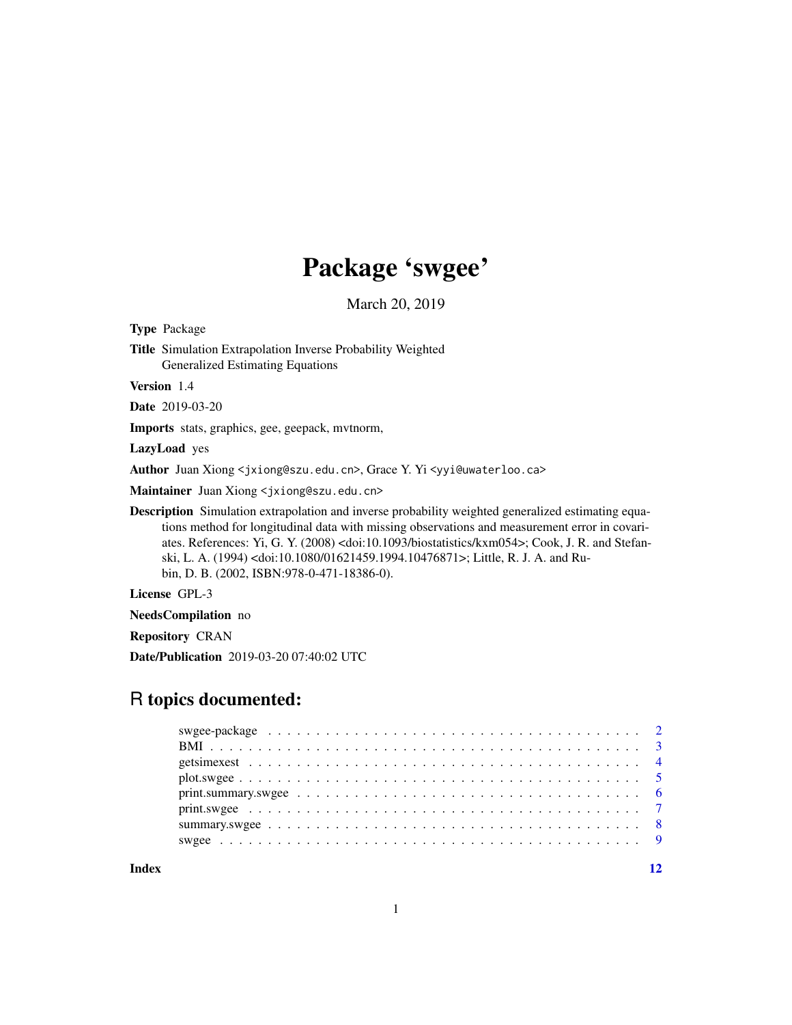## Package 'swgee'

March 20, 2019

<span id="page-0-0"></span>Type Package Title Simulation Extrapolation Inverse Probability Weighted Generalized Estimating Equations Version 1.4 Date 2019-03-20 Imports stats, graphics, gee, geepack, mvtnorm, LazyLoad yes

Author Juan Xiong <jxiong@szu.edu.cn>, Grace Y. Yi <yyi@uwaterloo.ca>

Maintainer Juan Xiong <jxiong@szu.edu.cn>

Description Simulation extrapolation and inverse probability weighted generalized estimating equations method for longitudinal data with missing observations and measurement error in covariates. References: Yi, G. Y. (2008) <doi:10.1093/biostatistics/kxm054>; Cook, J. R. and Stefanski, L. A. (1994) <doi:10.1080/01621459.1994.10476871>; Little, R. J. A. and Rubin, D. B. (2002, ISBN:978-0-471-18386-0).

License GPL-3

NeedsCompilation no

Repository CRAN

Date/Publication 2019-03-20 07:40:02 UTC

### R topics documented:

**Index** [12](#page-11-0)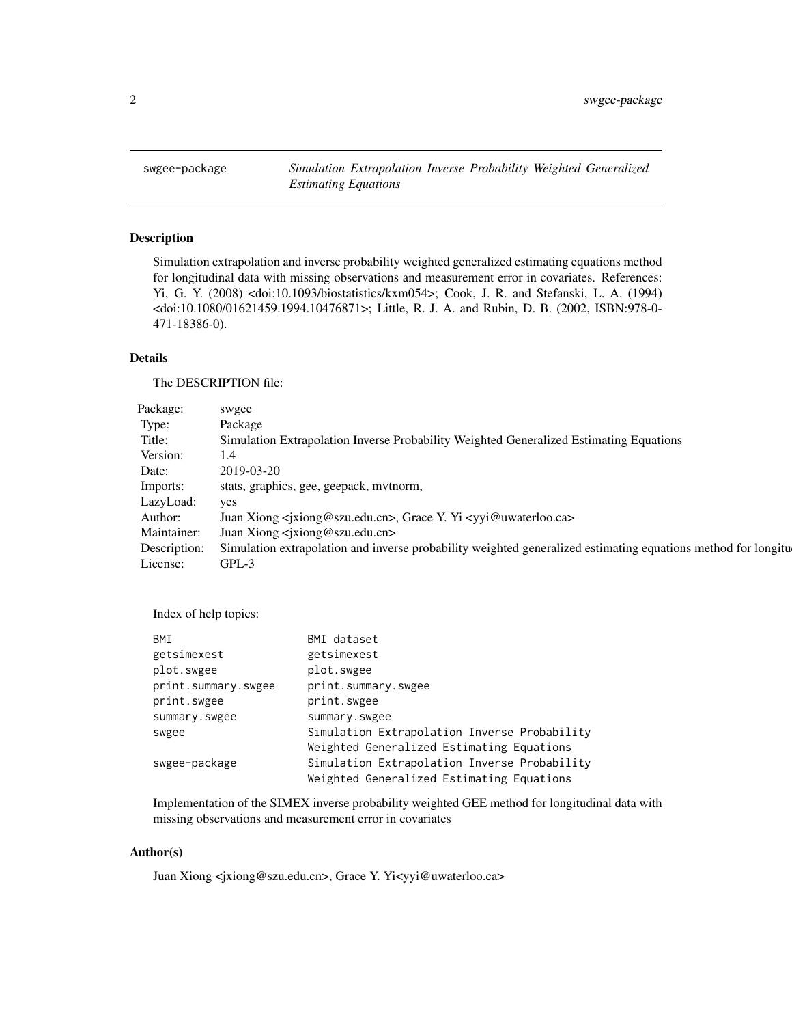<span id="page-1-0"></span>swgee-package *Simulation Extrapolation Inverse Probability Weighted Generalized Estimating Equations*

#### Description

Simulation extrapolation and inverse probability weighted generalized estimating equations method for longitudinal data with missing observations and measurement error in covariates. References: Yi, G. Y. (2008) <doi:10.1093/biostatistics/kxm054>; Cook, J. R. and Stefanski, L. A. (1994) <doi:10.1080/01621459.1994.10476871>; Little, R. J. A. and Rubin, D. B. (2002, ISBN:978-0- 471-18386-0).

#### Details

The DESCRIPTION file:

| Package:  | swgee                                                                                                                      |
|-----------|----------------------------------------------------------------------------------------------------------------------------|
| Type:     | Package                                                                                                                    |
| Title:    | Simulation Extrapolation Inverse Probability Weighted Generalized Estimating Equations                                     |
| Version:  |                                                                                                                            |
| Date:     | 2019-03-20                                                                                                                 |
| Imports:  | stats, graphics, gee, geepack, mvtnorm,                                                                                    |
| LazyLoad: | yes                                                                                                                        |
| Author:   | Juan Xiong <jxiong@szu.edu.cn>, Grace Y. Yi <yyi@uwaterloo.ca></yyi@uwaterloo.ca></jxiong@szu.edu.cn>                      |
|           | Maintainer: Juan Xiong <jxiong@szu.edu.cn></jxiong@szu.edu.cn>                                                             |
|           | Description: Simulation extrapolation and inverse probability weighted generalized estimating equations method for longitu |
| License:  | GPL-3                                                                                                                      |

Index of help topics:

| BMI                 | BMI dataset                                  |
|---------------------|----------------------------------------------|
| getsimexest         | getsimexest                                  |
| plot.swgee          | plot.swgee                                   |
| print.summary.swgee | print.summary.swgee                          |
| print.swgee         | print.swgee                                  |
| summary.swgee       | summary.swgee                                |
| swgee               | Simulation Extrapolation Inverse Probability |
|                     | Weighted Generalized Estimating Equations    |
| swgee-package       | Simulation Extrapolation Inverse Probability |
|                     | Weighted Generalized Estimating Equations    |

Implementation of the SIMEX inverse probability weighted GEE method for longitudinal data with missing observations and measurement error in covariates

#### Author(s)

Juan Xiong <jxiong@szu.edu.cn>, Grace Y. Yi<yyi@uwaterloo.ca>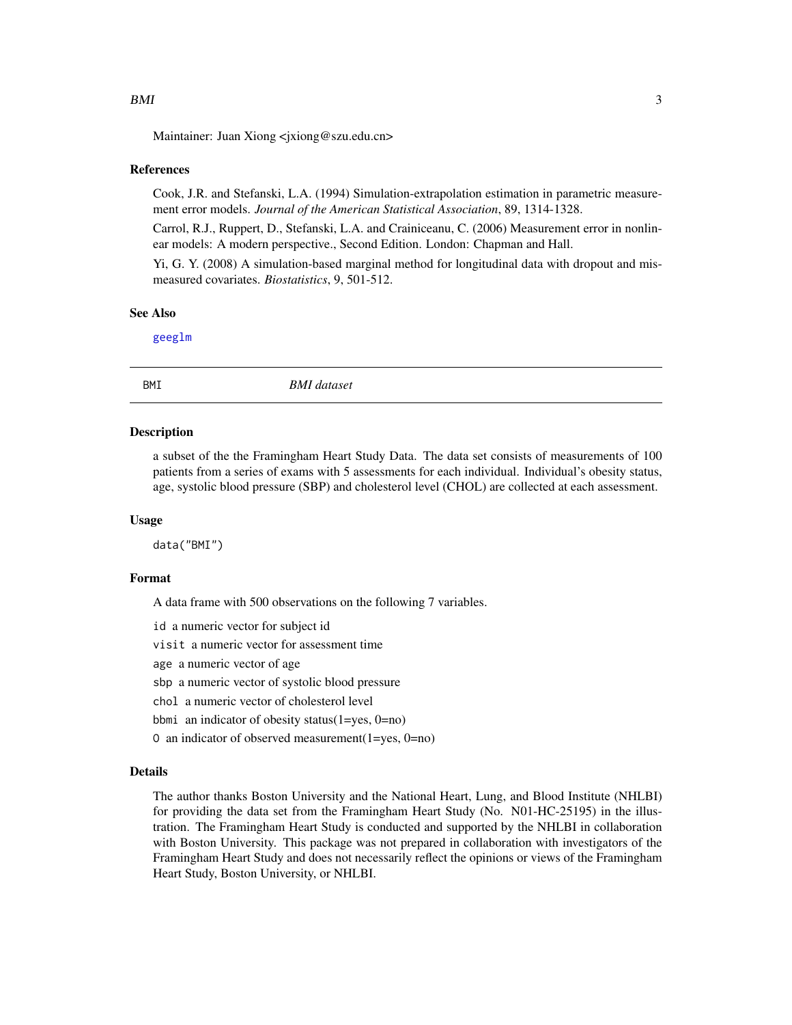#### <span id="page-2-0"></span>References

Cook, J.R. and Stefanski, L.A. (1994) Simulation-extrapolation estimation in parametric measurement error models. *Journal of the American Statistical Association*, 89, 1314-1328.

Carrol, R.J., Ruppert, D., Stefanski, L.A. and Crainiceanu, C. (2006) Measurement error in nonlinear models: A modern perspective., Second Edition. London: Chapman and Hall.

Yi, G. Y. (2008) A simulation-based marginal method for longitudinal data with dropout and mismeasured covariates. *Biostatistics*, 9, 501-512.

#### See Also

[geeglm](#page-0-0)

BMI *BMI dataset*

#### **Description**

a subset of the the Framingham Heart Study Data. The data set consists of measurements of 100 patients from a series of exams with 5 assessments for each individual. Individual's obesity status, age, systolic blood pressure (SBP) and cholesterol level (CHOL) are collected at each assessment.

#### Usage

data("BMI")

#### Format

A data frame with 500 observations on the following 7 variables.

id a numeric vector for subject id

visit a numeric vector for assessment time

age a numeric vector of age

sbp a numeric vector of systolic blood pressure

chol a numeric vector of cholesterol level

bbmi an indicator of obesity status(1=yes, 0=no)

O an indicator of observed measurement(1=yes, 0=no)

#### Details

The author thanks Boston University and the National Heart, Lung, and Blood Institute (NHLBI) for providing the data set from the Framingham Heart Study (No. N01-HC-25195) in the illustration. The Framingham Heart Study is conducted and supported by the NHLBI in collaboration with Boston University. This package was not prepared in collaboration with investigators of the Framingham Heart Study and does not necessarily reflect the opinions or views of the Framingham Heart Study, Boston University, or NHLBI.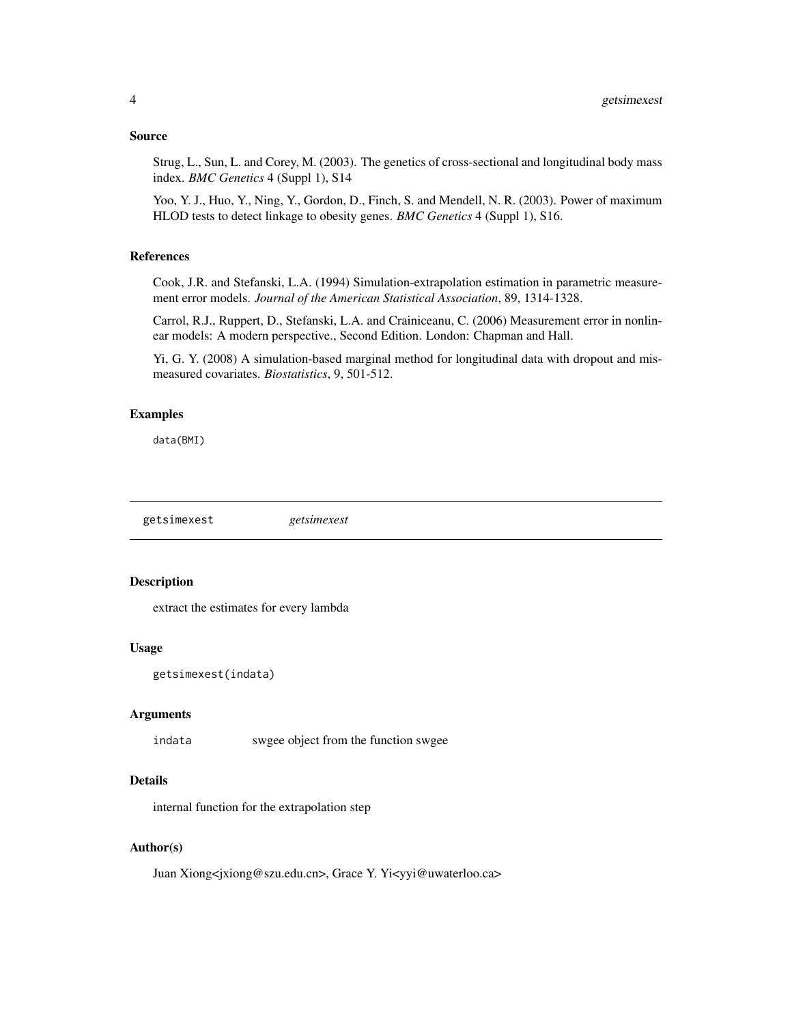#### <span id="page-3-0"></span>Source

Strug, L., Sun, L. and Corey, M. (2003). The genetics of cross-sectional and longitudinal body mass index. *BMC Genetics* 4 (Suppl 1), S14

Yoo, Y. J., Huo, Y., Ning, Y., Gordon, D., Finch, S. and Mendell, N. R. (2003). Power of maximum HLOD tests to detect linkage to obesity genes. *BMC Genetics* 4 (Suppl 1), S16.

#### References

Cook, J.R. and Stefanski, L.A. (1994) Simulation-extrapolation estimation in parametric measurement error models. *Journal of the American Statistical Association*, 89, 1314-1328.

Carrol, R.J., Ruppert, D., Stefanski, L.A. and Crainiceanu, C. (2006) Measurement error in nonlinear models: A modern perspective., Second Edition. London: Chapman and Hall.

Yi, G. Y. (2008) A simulation-based marginal method for longitudinal data with dropout and mismeasured covariates. *Biostatistics*, 9, 501-512.

#### Examples

data(BMI)

getsimexest *getsimexest*

#### Description

extract the estimates for every lambda

#### Usage

```
getsimexest(indata)
```
#### Arguments

indata swgee object from the function swgee

#### Details

internal function for the extrapolation step

#### Author(s)

Juan Xiong<jxiong@szu.edu.cn>, Grace Y. Yi<yyi@uwaterloo.ca>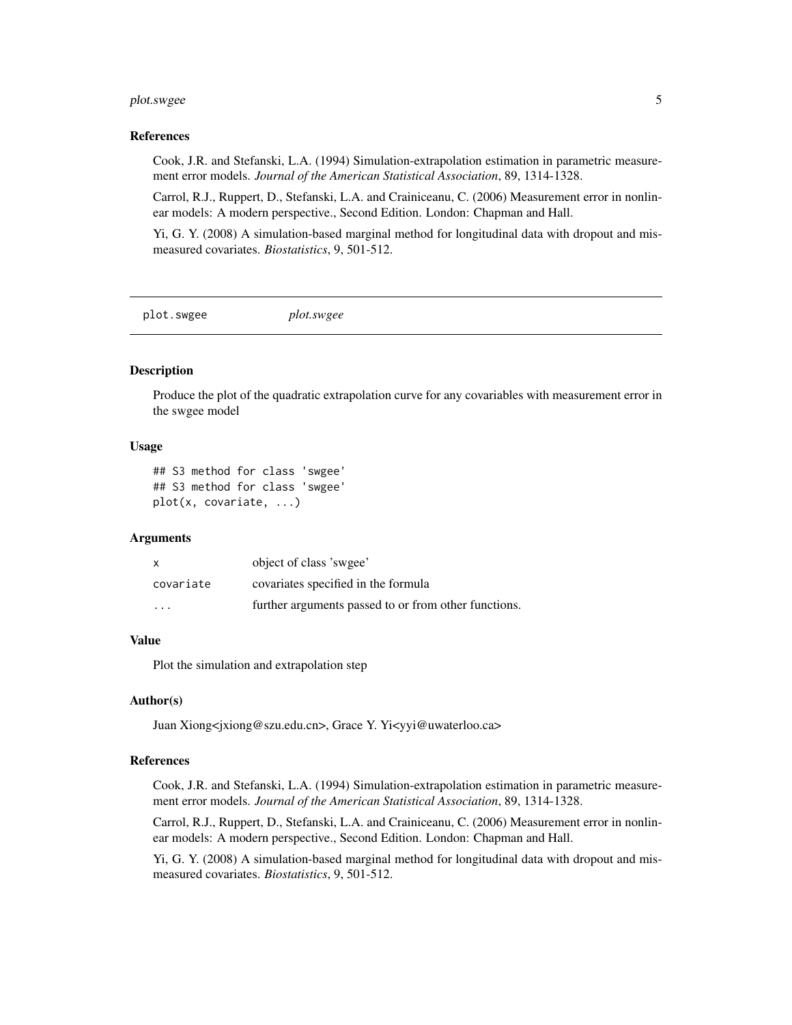#### <span id="page-4-0"></span>plot.swgee 5

#### References

Cook, J.R. and Stefanski, L.A. (1994) Simulation-extrapolation estimation in parametric measurement error models. *Journal of the American Statistical Association*, 89, 1314-1328.

Carrol, R.J., Ruppert, D., Stefanski, L.A. and Crainiceanu, C. (2006) Measurement error in nonlinear models: A modern perspective., Second Edition. London: Chapman and Hall.

Yi, G. Y. (2008) A simulation-based marginal method for longitudinal data with dropout and mismeasured covariates. *Biostatistics*, 9, 501-512.

plot.swgee *plot.swgee*

#### Description

Produce the plot of the quadratic extrapolation curve for any covariables with measurement error in the swgee model

#### Usage

```
## S3 method for class 'swgee'
## S3 method for class 'swgee'
plot(x, covariate, ...)
```
#### **Arguments**

| $\mathsf{x}$         | object of class 'swgee'                              |
|----------------------|------------------------------------------------------|
| covariate            | covariates specified in the formula                  |
| $\ddot{\phantom{0}}$ | further arguments passed to or from other functions. |

#### Value

Plot the simulation and extrapolation step

#### Author(s)

Juan Xiong<jxiong@szu.edu.cn>, Grace Y. Yi<yyi@uwaterloo.ca>

#### References

Cook, J.R. and Stefanski, L.A. (1994) Simulation-extrapolation estimation in parametric measurement error models. *Journal of the American Statistical Association*, 89, 1314-1328.

Carrol, R.J., Ruppert, D., Stefanski, L.A. and Crainiceanu, C. (2006) Measurement error in nonlinear models: A modern perspective., Second Edition. London: Chapman and Hall.

Yi, G. Y. (2008) A simulation-based marginal method for longitudinal data with dropout and mismeasured covariates. *Biostatistics*, 9, 501-512.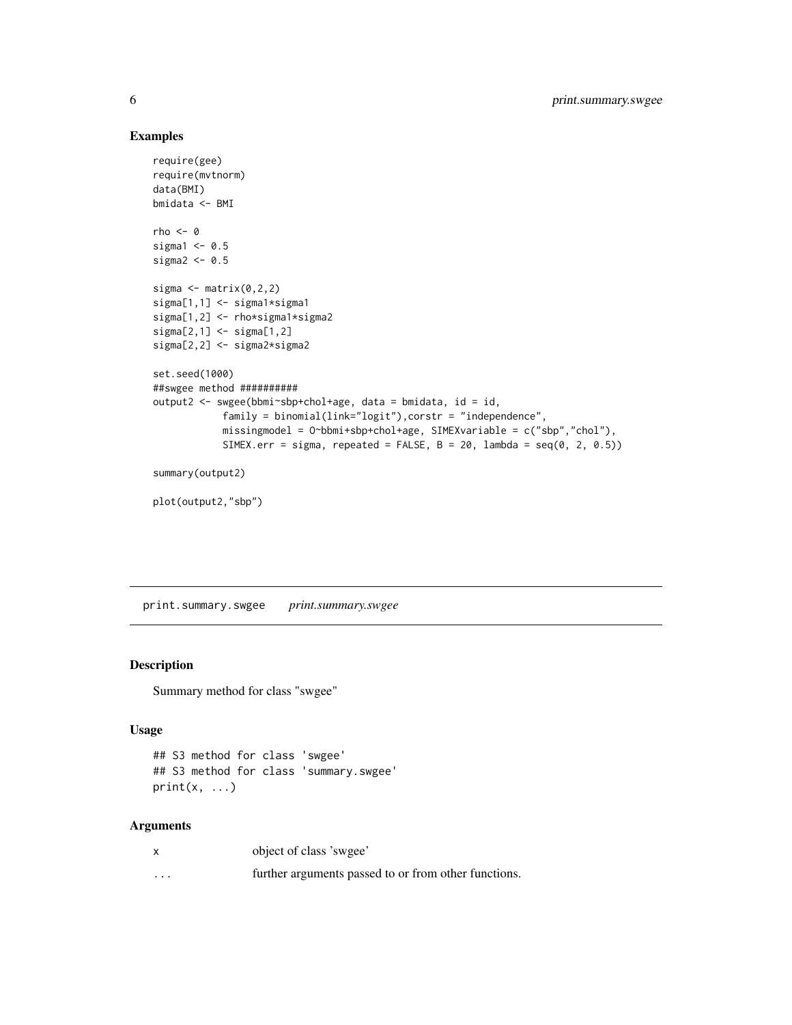#### Examples

```
require(gee)
require(mvtnorm)
data(BMI)
bmidata <- BMI
rho < -0sigmal <-0.5sigma2 < -0.5sigma \leq matrix(0,2,2)
sigma[1,1] <- sigma1*sigma1
sigma[1,2] <- rho*sigma1*sigma2
sigma[2,1] <- sigma[1,2]
sigma[2,2] <- sigma2*sigma2
set.seed(1000)
##swgee method ##########
output2 <- swgee(bbmi~sbp+chol+age, data = bmidata, id = id,
            family = binomial(link="logit"),corstr = "independence",
            missingmodel = O~bbmi+sbp+chol+age, SIMEXvariable = c("sbp","chol"),
            SIMEX.err = sigma, repeated = FALSE, B = 20, lambda = seq(0, 2, 0.5))
summary(output2)
```
plot(output2,"sbp")

print.summary.swgee *print.summary.swgee*

#### Description

Summary method for class "swgee"

#### Usage

```
## S3 method for class 'swgee'
## S3 method for class 'summary.swgee'
print(x, \ldots)
```
#### Arguments

|          | object of class 'swgee'                              |
|----------|------------------------------------------------------|
| $\cdots$ | further arguments passed to or from other functions. |

<span id="page-5-0"></span>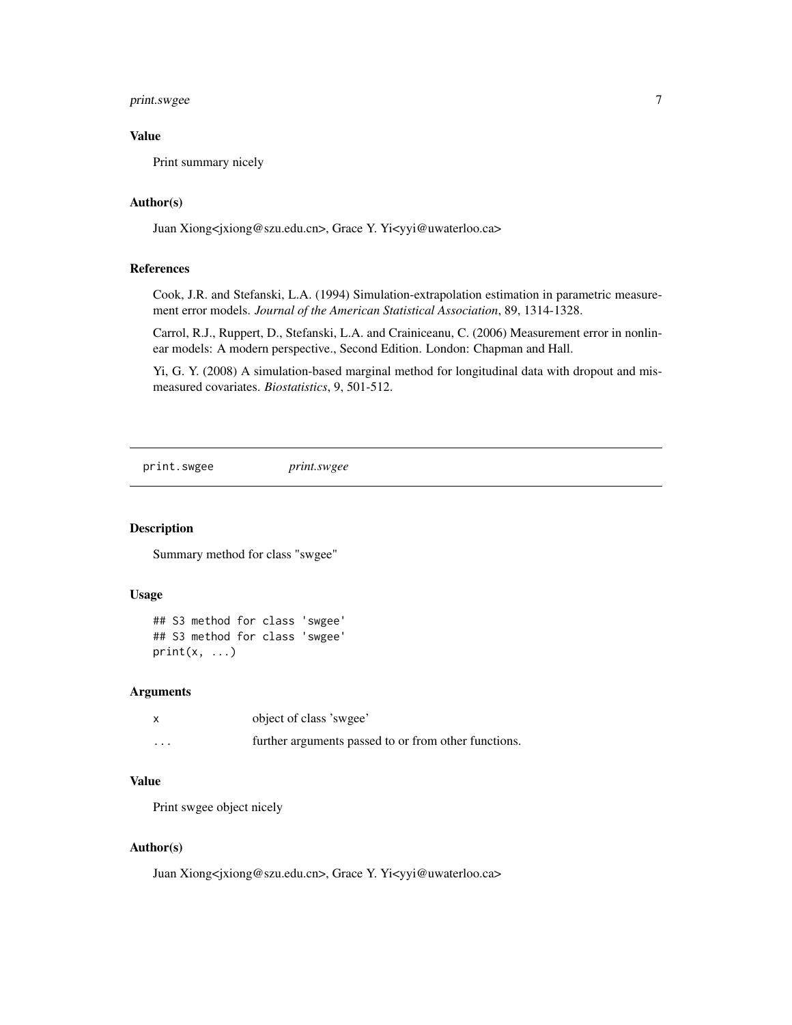#### <span id="page-6-0"></span>print.swgee 7

#### Value

Print summary nicely

#### Author(s)

Juan Xiong<jxiong@szu.edu.cn>, Grace Y. Yi<yyi@uwaterloo.ca>

#### References

Cook, J.R. and Stefanski, L.A. (1994) Simulation-extrapolation estimation in parametric measurement error models. *Journal of the American Statistical Association*, 89, 1314-1328.

Carrol, R.J., Ruppert, D., Stefanski, L.A. and Crainiceanu, C. (2006) Measurement error in nonlinear models: A modern perspective., Second Edition. London: Chapman and Hall.

Yi, G. Y. (2008) A simulation-based marginal method for longitudinal data with dropout and mismeasured covariates. *Biostatistics*, 9, 501-512.

print.swgee *print.swgee*

#### Description

Summary method for class "swgee"

#### Usage

```
## S3 method for class 'swgee'
## S3 method for class 'swgee'
print(x, \ldots)
```
#### Arguments

|         | object of class 'swgee'                              |
|---------|------------------------------------------------------|
| $\cdot$ | further arguments passed to or from other functions. |

#### Value

Print swgee object nicely

#### Author(s)

Juan Xiong<jxiong@szu.edu.cn>, Grace Y. Yi<yyi@uwaterloo.ca>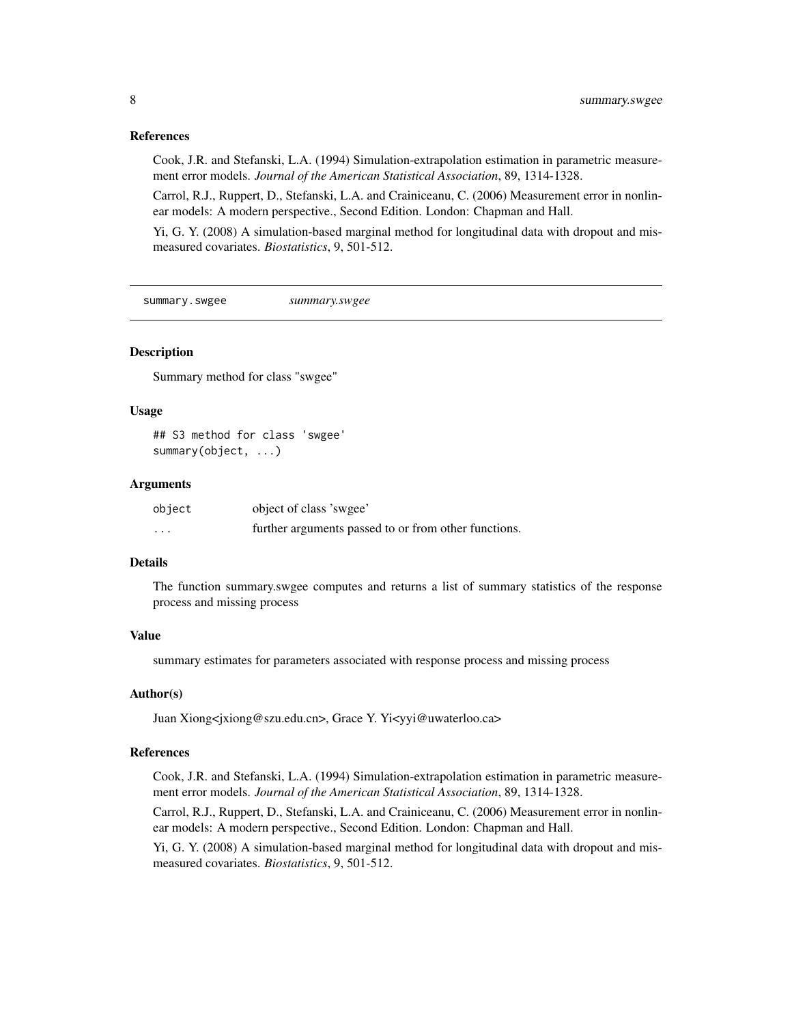#### References

Cook, J.R. and Stefanski, L.A. (1994) Simulation-extrapolation estimation in parametric measurement error models. *Journal of the American Statistical Association*, 89, 1314-1328.

Carrol, R.J., Ruppert, D., Stefanski, L.A. and Crainiceanu, C. (2006) Measurement error in nonlinear models: A modern perspective., Second Edition. London: Chapman and Hall.

Yi, G. Y. (2008) A simulation-based marginal method for longitudinal data with dropout and mismeasured covariates. *Biostatistics*, 9, 501-512.

summary.swgee *summary.swgee*

#### **Description**

Summary method for class "swgee"

#### Usage

## S3 method for class 'swgee' summary(object, ...)

#### Arguments

| object   | object of class 'swgee'                              |
|----------|------------------------------------------------------|
| $\cdots$ | further arguments passed to or from other functions. |

#### Details

The function summary.swgee computes and returns a list of summary statistics of the response process and missing process

#### Value

summary estimates for parameters associated with response process and missing process

#### Author(s)

Juan Xiong<jxiong@szu.edu.cn>, Grace Y. Yi<yyi@uwaterloo.ca>

#### References

Cook, J.R. and Stefanski, L.A. (1994) Simulation-extrapolation estimation in parametric measurement error models. *Journal of the American Statistical Association*, 89, 1314-1328.

Carrol, R.J., Ruppert, D., Stefanski, L.A. and Crainiceanu, C. (2006) Measurement error in nonlinear models: A modern perspective., Second Edition. London: Chapman and Hall.

Yi, G. Y. (2008) A simulation-based marginal method for longitudinal data with dropout and mismeasured covariates. *Biostatistics*, 9, 501-512.

<span id="page-7-0"></span>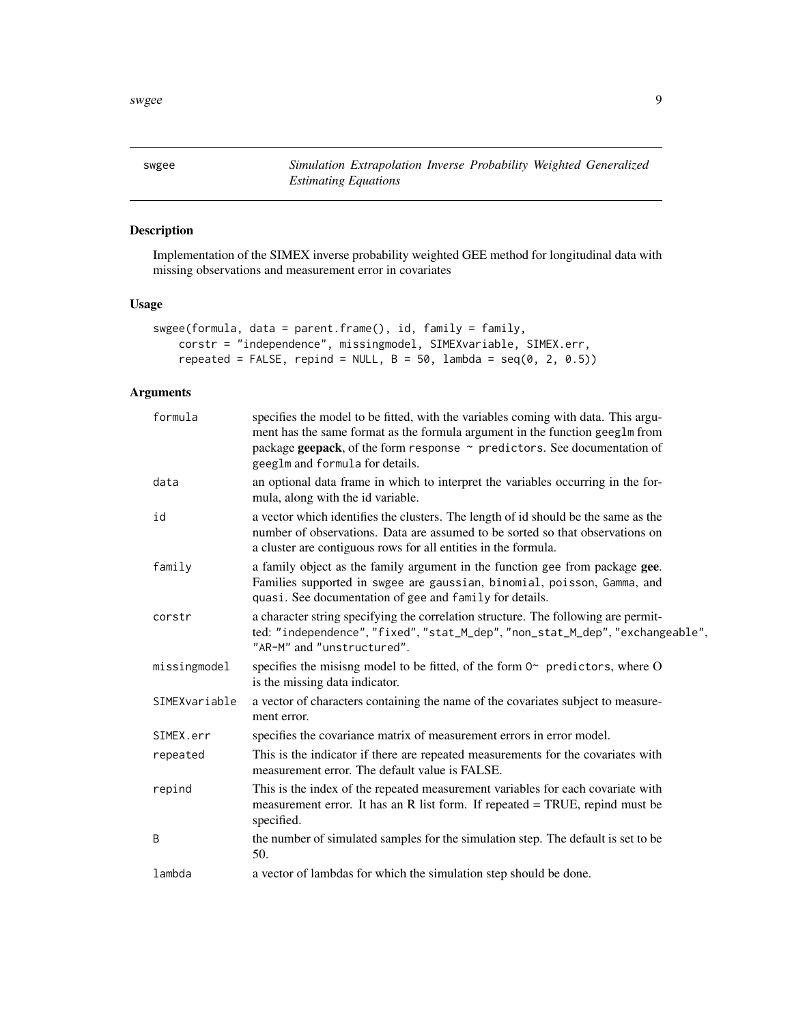<span id="page-8-0"></span>swgee *Simulation Extrapolation Inverse Probability Weighted Generalized Estimating Equations*

#### Description

Implementation of the SIMEX inverse probability weighted GEE method for longitudinal data with missing observations and measurement error in covariates

#### Usage

```
swgee(formula, data = parent.frame(), id, family = family,
   corstr = "independence", missingmodel, SIMEXvariable, SIMEX.err,
   repeated = FALSE, repind = NULL, B = 50, lambda = seq(0, 2, 0.5))
```
#### Arguments

| formula       | specifies the model to be fitted, with the variables coming with data. This argu-<br>ment has the same format as the formula argument in the function geeglm from<br>package geepack, of the form response $\sim$ predictors. See documentation of<br>geeglm and formula for details. |
|---------------|---------------------------------------------------------------------------------------------------------------------------------------------------------------------------------------------------------------------------------------------------------------------------------------|
| data          | an optional data frame in which to interpret the variables occurring in the for-<br>mula, along with the id variable.                                                                                                                                                                 |
| id            | a vector which identifies the clusters. The length of id should be the same as the<br>number of observations. Data are assumed to be sorted so that observations on<br>a cluster are contiguous rows for all entities in the formula.                                                 |
| family        | a family object as the family argument in the function gee from package gee.<br>Families supported in swgee are gaussian, binomial, poisson, Gamma, and<br>quasi. See documentation of gee and family for details.                                                                    |
| corstr        | a character string specifying the correlation structure. The following are permit-<br>ted: "independence", "fixed", "stat_M_dep", "non_stat_M_dep", "exchangeable",<br>"AR-M" and "unstructured".                                                                                     |
| missingmodel  | specifies the misisng model to be fitted, of the form $02$ predictors, where O<br>is the missing data indicator.                                                                                                                                                                      |
| SIMEXvariable | a vector of characters containing the name of the covariates subject to measure-<br>ment error.                                                                                                                                                                                       |
| SIMEX.err     | specifies the covariance matrix of measurement errors in error model.                                                                                                                                                                                                                 |
| repeated      | This is the indicator if there are repeated measurements for the covariates with<br>measurement error. The default value is FALSE.                                                                                                                                                    |
| repind        | This is the index of the repeated measurement variables for each covariate with<br>measurement error. It has an R list form. If repeated $= TRUE$ , repind must be<br>specified.                                                                                                      |
| B             | the number of simulated samples for the simulation step. The default is set to be<br>50.                                                                                                                                                                                              |
| lambda        | a vector of lambdas for which the simulation step should be done.                                                                                                                                                                                                                     |
|               |                                                                                                                                                                                                                                                                                       |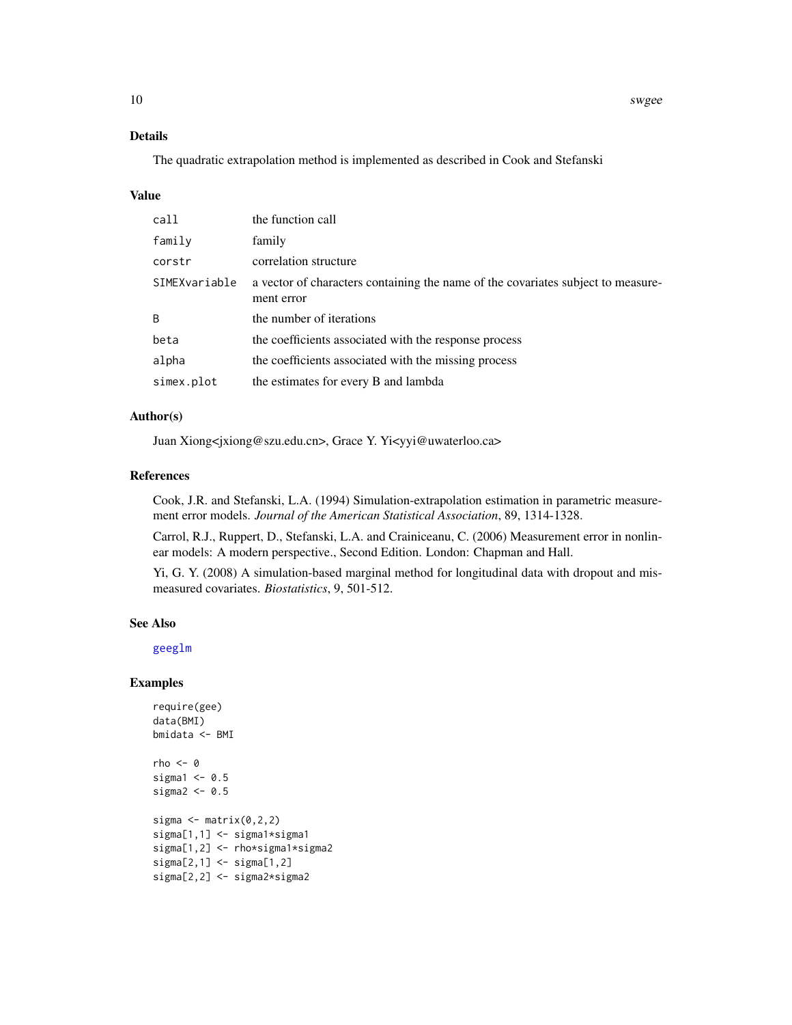<span id="page-9-0"></span>10 swgee

#### Details

The quadratic extrapolation method is implemented as described in Cook and Stefanski

#### Value

| call          | the function call                                                                              |
|---------------|------------------------------------------------------------------------------------------------|
| family        | family                                                                                         |
| corstr        | correlation structure                                                                          |
| SIMEXvariable | a vector of characters containing the name of the covariates subject to measure-<br>ment error |
| B             | the number of iterations                                                                       |
| beta          | the coefficients associated with the response process                                          |
| alpha         | the coefficients associated with the missing process                                           |
| simex.plot    | the estimates for every B and lambda                                                           |

#### Author(s)

Juan Xiong<jxiong@szu.edu.cn>, Grace Y. Yi<yyi@uwaterloo.ca>

#### References

Cook, J.R. and Stefanski, L.A. (1994) Simulation-extrapolation estimation in parametric measurement error models. *Journal of the American Statistical Association*, 89, 1314-1328.

Carrol, R.J., Ruppert, D., Stefanski, L.A. and Crainiceanu, C. (2006) Measurement error in nonlinear models: A modern perspective., Second Edition. London: Chapman and Hall.

Yi, G. Y. (2008) A simulation-based marginal method for longitudinal data with dropout and mismeasured covariates. *Biostatistics*, 9, 501-512.

#### See Also

[geeglm](#page-0-0)

#### Examples

```
require(gee)
data(BMI)
bmidata <- BMI
rho < -0sigmal <-0.5sigma2 < -0.5sigma \leq matrix(0,2,2)
sigma[1,1] <- sigma1*sigma1
sigma[1,2] <- rho*sigma1*sigma2
sigma[2,1] <- sigma[1,2]
sigma[2,2] <- sigma2*sigma2
```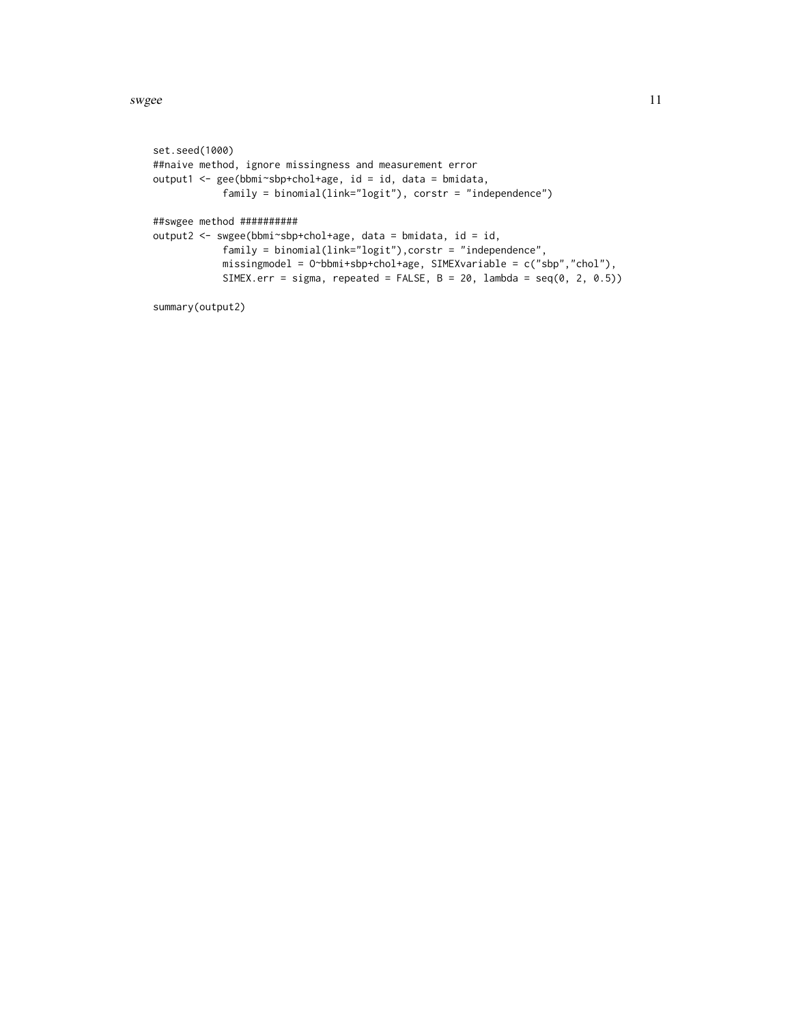swgee and the state of the state of the state of the state of the state of the state of the state of the state of the state of the state of the state of the state of the state of the state of the state of the state of the

```
set.seed(1000)
##naive method, ignore missingness and measurement error
output1 <- gee(bbmi~sbp+chol+age, id = id, data = bmidata,
            family = binomial(link="logit"), corstr = "independence")
##swgee method ##########
output2 <- swgee(bbmi~sbp+chol+age, data = bmidata, id = id,
            family = binomial(link="logit"),corstr = "independence",
            missingmodel = O~bbmi+sbp+chol+age, SIMEXvariable = c("sbp","chol"),
            SIMEX.err = sigma, repeated = FALSE, B = 20, lambda = seq(0, 2, 0.5))
```

```
summary(output2)
```